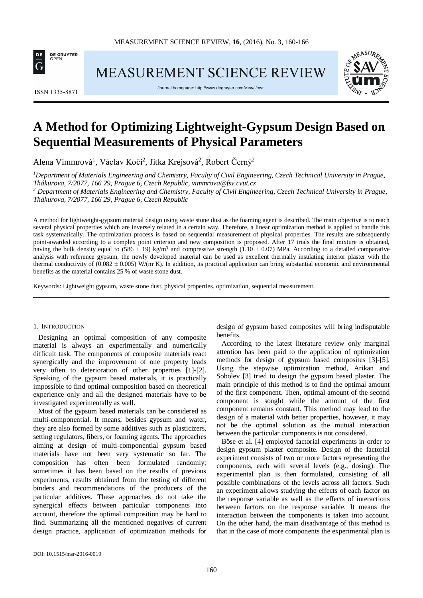

MEASUREMENT SCIENCE REVIEW

**ISSN 1335-8871** 

Journal homepage[: http://www.degruyter.com/view/j/msr](http://www.degruyter.com/view/j/msr)



# **A Method for Optimizing Lightweight-Gypsum Design Based on Sequential Measurements of Physical Parameters**

Alena Vimmrová<sup>1</sup>, Václav Kočí<sup>2</sup>, Jitka Krejsová<sup>2</sup>, Robert Černý<sup>2</sup>

*1 Department of Materials Engineering and Chemistry, Faculty of Civil Engineering, Czech Technical University in Prague, Thákurova, 7/2077, 166 29, Prague 6, Czech Republic, vimmrova@fsv.cvut.cz*

*<sup>2</sup> Department of Materials Engineering and Chemistry, Faculty of Civil Engineering, Czech Technical University in Prague, Thákurova, 7/2077, 166 29, Prague 6, Czech Republic*

A method for lightweight-gypsum material design using waste stone dust as the foaming agent is described. The main objective is to reach several physical properties which are inversely related in a certain way. Therefore, a linear optimization method is applied to handle this task systematically. The optimization process is based on sequential measurement of physical properties. The results are subsequently point-awarded according to a complex point criterion and new composition is proposed. After 17 trials the final mixture is obtained, having the bulk density equal to  $(586 \pm 19)$  kg/m<sup>3</sup> and compressive strength  $(1.10 \pm 0.07)$  MPa. According to a detailed comparative analysis with reference gypsum, the newly developed material can be used as excellent thermally insulating interior plaster with the thermal conductivity of  $(0.082 \pm 0.005)$  W/(m·K). In addition, its practical application can bring substantial economic and environmental benefits as the material contains 25 % of waste stone dust.

Keywords: Lightweight gypsum, waste stone dust, physical properties, optimization, sequential measurement.

## 1. INTRODUCTION

Designing an optimal composition of any composite material is always an experimentally and numerically difficult task. The components of composite materials react synergically and the improvement of one property leads very often to deterioration of other properties [1]-[2]. Speaking of the gypsum based materials, it is practically impossible to find optimal composition based on theoretical experience only and all the designed materials have to be investigated experimentally as well.

Most of the gypsum based materials can be considered as multi-componential. It means, besides gypsum and water, they are also formed by some additives such as plasticizers, setting regulators, fibers, or foaming agents. The approaches aiming at design of multi-componential gypsum based materials have not been very systematic so far. The composition has often been formulated randomly; sometimes it has been based on the results of previous experiments, results obtained from the testing of different binders and recommendations of the producers of the particular additives. These approaches do not take the synergical effects between particular components into account, therefore the optimal composition may be hard to find. Summarizing all the mentioned negatives of current design practice, application of optimization methods for

design of gypsum based composites will bring indisputable benefits.

According to the latest literature review only marginal attention has been paid to the application of optimization methods for design of gypsum based composites [3]-[5]. Using the stepwise optimization method, Arikan and Sobolev [3] tried to design the gypsum based plaster. The main principle of this method is to find the optimal amount of the first component. Then, optimal amount of the second component is sought while the amount of the first component remains constant. This method may lead to the design of a material with better properties, however, it may not be the optimal solution as the mutual interaction between the particular components is not considered.

Böse et al. [4] employed factorial experiments in order to design gypsum plaster composite. Design of the factorial experiment consists of two or more factors representing the components, each with several levels (e.g., dosing). The experimental plan is then formulated, consisting of all possible combinations of the levels across all factors. Such an experiment allows studying the effects of each factor on the response variable as well as the effects of interactions between factors on the response variable. It means the interaction between the components is taken into account. On the other hand, the main disadvantage of this method is that in the case of more components the experimental plan is

\_\_\_\_\_\_\_\_\_\_\_\_\_\_\_\_\_

DOI: 10.1515/msr-2016-0019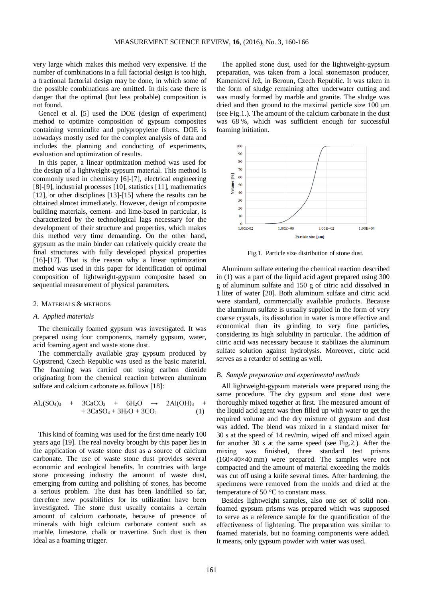very large which makes this method very expensive. If the number of combinations in a full factorial design is too high, a fractional factorial design may be done, in which some of the possible combinations are omitted. In this case there is danger that the optimal (but less probable) composition is not found.

Gencel et al. [5] used the DOE (design of experiment) method to optimize composition of gypsum composites containing vermiculite and polypropylene fibers. DOE is nowadays mostly used for the complex analysis of data and includes the planning and conducting of experiments, evaluation and optimization of results.

In this paper, a linear optimization method was used for the design of a lightweight-gypsum material. This method is commonly used in chemistry [6]-[7], electrical engineering [8]-[9], industrial processes [10], statistics [11], mathematics [12], or other disciplines [13]-[15] where the results can be obtained almost immediately. However, design of composite building materials, cement- and lime-based in particular, is characterized by the technological lags necessary for the development of their structure and properties, which makes this method very time demanding. On the other hand, gypsum as the main binder can relatively quickly create the final structures with fully developed physical properties [16]-[17]. That is the reason why a linear optimization method was used in this paper for identification of optimal composition of lightweight-gypsum composite based on sequential measurement of physical parameters.

### 2. MATERIALS & METHODS

# *A. Applied materials*

The chemically foamed gypsum was investigated. It was prepared using four components, namely gypsum, water, acid foaming agent and waste stone dust.

The commercially available gray gypsum produced by Gypstrend, Czech Republic was used as the basic material. The foaming was carried out using carbon dioxide originating from the chemical reaction between aluminum sulfate and calcium carbonate as follows [18]:

$$
Al_2(SO_4)_3 + 3CaCO_3 + 6H_2O \rightarrow 2Al(OH)_3 ++ 3CaSO_4 + 3H_2O + 3CO_2
$$
 (1)

This kind of foaming was used for the first time nearly 100 years ago [19]. The real novelty brought by this paper lies in the application of waste stone dust as a source of calcium carbonate. The use of waste stone dust provides several economic and ecological benefits. In countries with large stone processing industry the amount of waste dust, emerging from cutting and polishing of stones, has become a serious problem. The dust has been landfilled so far, therefore new possibilities for its utilization have been investigated. The stone dust usually contains a certain amount of calcium carbonate, because of presence of minerals with high calcium carbonate content such as marble, limestone, chalk or travertine. Such dust is then ideal as a foaming trigger.

The applied stone dust, used for the lightweight-gypsum preparation, was taken from a local stonemason producer, Kamenictví Jež, in Beroun, Czech Republic. It was taken in the form of sludge remaining after underwater cutting and was mostly formed by marble and granite. The sludge was dried and then ground to the maximal particle size 100 μm (see Fig.1.). The amount of the calcium carbonate in the dust was 68 %, which was sufficient enough for successful foaming initiation.



Fig.1. Particle size distribution of stone dust.

Aluminum sulfate entering the chemical reaction described in (1) was a part of the liquid acid agent prepared using 300 g of aluminum sulfate and 150 g of citric acid dissolved in 1 liter of water [20]. Both aluminum sulfate and citric acid were standard, commercially available products. Because the aluminum sulfate is usually supplied in the form of very coarse crystals, its dissolution in water is more effective and economical than its grinding to very fine particles, considering its high solubility in particular. The addition of citric acid was necessary because it stabilizes the aluminum sulfate solution against hydrolysis. Moreover, citric acid serves as a retarder of setting as well.

#### *B. Sample preparation and experimental methods*

All lightweight-gypsum materials were prepared using the same procedure. The dry gypsum and stone dust were thoroughly mixed together at first. The measured amount of the liquid acid agent was then filled up with water to get the required volume and the dry mixture of gypsum and dust was added. The blend was mixed in a standard mixer for 30 s at the speed of 14 rev/min, wiped off and mixed again for another 30 s at the same speed (see Fig.2.). After the mixing was finished, three standard test prisms (160×40×40 mm) were prepared. The samples were not compacted and the amount of material exceeding the molds was cut off using a knife several times. After hardening, the specimens were removed from the molds and dried at the temperature of 50 °C to constant mass.

Besides lightweight samples, also one set of solid nonfoamed gypsum prisms was prepared which was supposed to serve as a reference sample for the quantification of the effectiveness of lightening. The preparation was similar to foamed materials, but no foaming components were added. It means, only gypsum powder with water was used.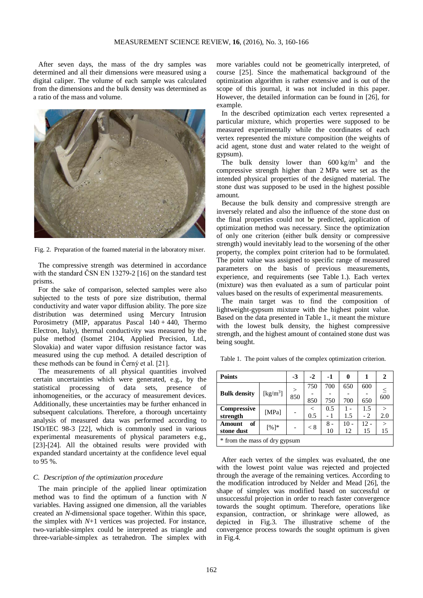After seven days, the mass of the dry samples was determined and all their dimensions were measured using a digital caliper. The volume of each sample was calculated from the dimensions and the bulk density was determined as a ratio of the mass and volume.



Fig. 2. Preparation of the foamed material in the laboratory mixer.

The compressive strength was determined in accordance with the standard ČSN EN 13279-2 [16] on the standard test prisms.

For the sake of comparison, selected samples were also subjected to the tests of pore size distribution, thermal conductivity and water vapor diffusion ability. The pore size distribution was determined using Mercury Intrusion Porosimetry (MIP, apparatus Pascal  $140 + 440$ , Thermo Electron, Italy), thermal conductivity was measured by the pulse method (Isomet 2104, Applied Precision, Ltd., Slovakia) and water vapor diffusion resistance factor was measured using the cup method. A detailed description of these methods can be found in Černý et al. [21].

The measurements of all physical quantities involved certain uncertainties which were generated, e.g., by the statistical processing of data sets, presence of inhomogeneities, or the accuracy of measurement devices. Additionally, these uncertainties may be further enhanced in subsequent calculations. Therefore, a thorough uncertainty analysis of measured data was performed according to ISO/IEC 98-3 [22], which is commonly used in various experimental measurements of physical parameters e.g., [23]-[24]. All the obtained results were provided with expanded standard uncertainty at the confidence level equal to 95 %.

### *C. Description of the optimization procedure*

The main principle of the applied linear optimization method was to find the optimum of a function with *N* variables. Having assigned one dimension, all the variables created an *N*-dimensional space together. Within this space, the simplex with *N*+1 vertices was projected. For instance, two-variable-simplex could be interpreted as triangle and three-variable-simplex as tetrahedron. The simplex with

more variables could not be geometrically interpreted, of course [25]. Since the mathematical background of the optimization algorithm is rather extensive and is out of the scope of this journal, it was not included in this paper. However, the detailed information can be found in [26], for example.

In the described optimization each vertex represented a particular mixture, which properties were supposed to be measured experimentally while the coordinates of each vertex represented the mixture composition (the weights of acid agent, stone dust and water related to the weight of gypsum).

The bulk density lower than  $600 \text{ kg/m}^3$  and the compressive strength higher than 2 MPa were set as the intended physical properties of the designed material. The stone dust was supposed to be used in the highest possible amount.

Because the bulk density and compressive strength are inversely related and also the influence of the stone dust on the final properties could not be predicted, application of optimization method was necessary. Since the optimization of only one criterion (either bulk density or compressive strength) would inevitably lead to the worsening of the other property, the complex point criterion had to be formulated. The point value was assigned to specific range of measured parameters on the basis of previous measurements, experience, and requirements (see Table 1.). Each vertex (mixture) was then evaluated as a sum of particular point values based on the results of experimental measurements.

The main target was to find the composition of lightweight-gypsum mixture with the highest point value. Based on the data presented in Table 1., it meant the mixture with the lowest bulk density, the highest compressive strength, and the highest amount of contained stone dust was being sought.

Table 1. The point values of the complex optimization criterion.

| Points                        | $-3$                           | $-2$          | -1      | 0   | 1   |      |        |
|-------------------------------|--------------------------------|---------------|---------|-----|-----|------|--------|
|                               | $\left[\mathrm{kg/m^3}\right]$ | $\geq$<br>850 | 750     | 700 | 650 | 600  |        |
| <b>Bulk density</b>           |                                |               |         |     |     |      | 600    |
|                               |                                |               | 850     | 750 | 700 | 650  |        |
| Compressive                   | [MPa]                          |               | $\,<\,$ | 0.5 |     | 1.5  |        |
| strength                      |                                |               | 0.5     | - 1 | 1.5 | $-2$ | 2.0    |
| of<br>Amount                  |                                |               |         | 8 - | 10  | 12 - | $\geq$ |
| stone dust                    | $[%]$ *                        |               | < 8     | 10  | 12  | 15   | 15     |
| * from the mass of dry gypsum |                                |               |         |     |     |      |        |

After each vertex of the simplex was evaluated, the one with the lowest point value was rejected and projected through the average of the remaining vertices. According to the modification introduced by Nelder and Mead [26], the shape of simplex was modified based on successful or unsuccessful projection in order to reach faster convergence towards the sought optimum. Therefore, operations like expansion, contraction, or shrinkage were allowed, as depicted in Fig.3. The illustrative scheme of the convergence process towards the sought optimum is given in Fig.4.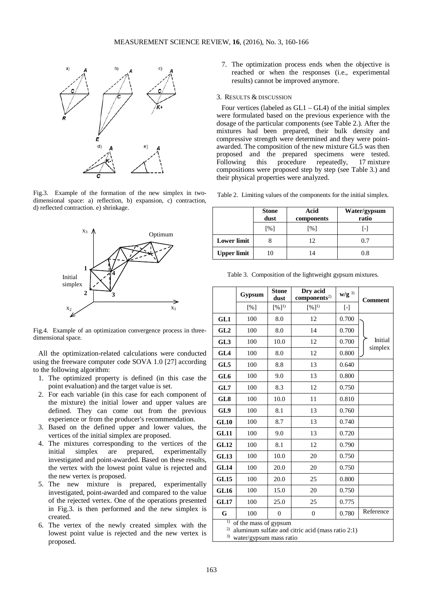

Fig.3. Example of the formation of the new simplex in twodimensional space: a) reflection, b) expansion, c) contraction, d) reflected contraction. e) shrinkage.



Fig.4. Example of an optimization convergence process in threedimensional space.

All the optimization-related calculations were conducted using the freeware computer code SOVA 1.0 [27] according to the following algorithm:

- 1. The optimized property is defined (in this case the point evaluation) and the target value is set.
- 2. For each variable (in this case for each component of the mixture) the initial lower and upper values are defined. They can come out from the previous experience or from the producer's recommendation.
- 3. Based on the defined upper and lower values, the vertices of the initial simplex are proposed.
- 4. The mixtures corresponding to the vertices of the initial simplex are prepared, experimentally investigated and point-awarded. Based on these results, the vertex with the lowest point value is rejected and the new vertex is proposed.
- 5. The new mixture is prepared, experimentally investigated, point-awarded and compared to the value of the rejected vertex. One of the operations presented in Fig.3. is then performed and the new simplex is created.
- 6. The vertex of the newly created simplex with the lowest point value is rejected and the new vertex is proposed.

7. The optimization process ends when the objective is reached or when the responses (i.e., experimental results) cannot be improved anymore.

## 3. RESULTS & DISCUSSION

Four vertices (labeled as  $GL1 - GL4$ ) of the initial simplex were formulated based on the previous experience with the dosage of the particular components (see Table 2.). After the mixtures had been prepared, their bulk density and compressive strength were determined and they were pointawarded. The composition of the new mixture GL5 was then proposed and the prepared specimens were tested.<br>Following this procedure repeatedly, 17 mixture Following this procedure repeatedly, 17 mixture compositions were proposed step by step (see Table 3.) and their physical properties were analyzed.

Table 2. Limiting values of the components for the initial simplex.

|                    | <b>Stone</b><br>dust | Acid<br>components | Water/gypsum<br>ratio |
|--------------------|----------------------|--------------------|-----------------------|
|                    | [%]                  | [%]                | l-l                   |
| <b>Lower limit</b> |                      | 12                 | 0.7                   |
| <b>Upper limit</b> |                      | 14                 | 0.8                   |

Table 3. Composition of the lightweight gypsum mixtures.

|                                                                                                    | Gypsum | <b>Stone</b><br>dust | Dry acid<br>components <sup>2</sup> | $w/g^{3}$ | <b>Comment</b>     |
|----------------------------------------------------------------------------------------------------|--------|----------------------|-------------------------------------|-----------|--------------------|
|                                                                                                    | [%]    | $[%]^{1}$            | $[%]^{1}$                           | $[$       |                    |
| GL1                                                                                                | 100    | 8.0                  | 12                                  | 0.700     |                    |
| GL2                                                                                                | 100    | 8.0                  | 14                                  | 0.700     |                    |
| GL3                                                                                                | 100    | 10.0                 | 12                                  | 0.700     | Initial<br>simplex |
| GL4                                                                                                | 100    | 8.0                  | 12                                  | 0.800     |                    |
| GL5                                                                                                | 100    | 8.8                  | 13                                  | 0.640     |                    |
| GL6                                                                                                | 100    | 9.0                  | 13                                  | 0.800     |                    |
| GL7                                                                                                | 100    | 8.3                  | 12                                  | 0.750     |                    |
| GL8                                                                                                | 100    | 10.0                 | 11                                  | 0.810     |                    |
| GL9                                                                                                | 100    | 8.1                  | 13                                  | 0.760     |                    |
| <b>GL10</b>                                                                                        | 100    | 8.7                  | 13                                  | 0.740     |                    |
| <b>GL11</b>                                                                                        | 100    | 9.0                  | 13                                  | 0.720     |                    |
| <b>GL12</b>                                                                                        | 100    | 8.1                  | 12                                  | 0.790     |                    |
| <b>GL13</b>                                                                                        | 100    | 10.0                 | 20                                  | 0.750     |                    |
| <b>GL14</b>                                                                                        | 100    | 20.0                 | 20                                  | 0.750     |                    |
| <b>GL15</b>                                                                                        | 100    | 20.0                 | 25                                  | 0.800     |                    |
| <b>GL16</b>                                                                                        | 100    | 15.0                 | 20                                  | 0.750     |                    |
| <b>GL17</b>                                                                                        | 100    | 25.0                 | 25                                  | 0.775     |                    |
| G                                                                                                  | 100    | $\overline{0}$       | 0                                   | 0.780     | Reference          |
| $\overline{1}$<br>of the mass of gypsum<br>2)<br>aluminum sulfate and citric acid (mass ratio 2:1) |        |                      |                                     |           |                    |

3) water/gypsum mass ratio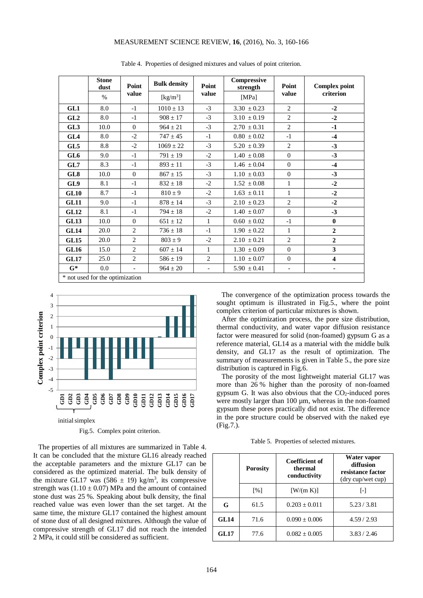# MEASUREMENT SCIENCE REVIEW, **16**, (2016), No. 3, 160-166

|                                 | <b>Stone</b><br>dust | Point                    | <b>Bulk density</b>            | Point                    | Compressive<br>strength | Point<br>value           | <b>Complex point</b><br>criterion |
|---------------------------------|----------------------|--------------------------|--------------------------------|--------------------------|-------------------------|--------------------------|-----------------------------------|
|                                 | $\%$                 | value                    | $\left[\mathrm{kg/m^3}\right]$ | value                    | [MPa]                   |                          |                                   |
| GL1                             | 8.0                  | $-1$                     | $1010 \pm 13$                  | $-3$                     | $3.30 \pm 0.23$         | $\overline{c}$           | $-2$                              |
| GL2                             | 8.0                  | $-1$                     | $908 \pm 17$                   | $-3$                     | $3.10 \pm 0.19$         | $\overline{2}$           | $-2$                              |
| GL <sub>3</sub>                 | 10.0                 | $\Omega$                 | $964 \pm 21$                   | $-3$                     | $2.70 \pm 0.31$         | $\overline{2}$           | $-1$                              |
| GL4                             | 8.0                  | $-2$                     | $747 \pm 45$                   | $-1$                     | $0.80 \pm 0.02$         | $-1$                     | $-4$                              |
| GL5                             | 8.8                  | $-2$                     | $1069 \pm 22$                  | $-3$                     | $5.20 \pm 0.39$         | $\overline{2}$           | $-3$                              |
| GL6                             | 9.0                  | $-1$                     | $791 \pm 19$                   | $-2$                     | $1.40 \pm 0.08$         | $\Omega$                 | $-3$                              |
| GL7                             | 8.3                  | $-1$                     | $893 \pm 11$                   | $-3$                     | $1.46 \pm 0.04$         | $\Omega$                 | $-4$                              |
| GL8                             | 10.0                 | $\Omega$                 | $867 \pm 15$                   | $-3$                     | $1.10 \pm 0.03$         | $\Omega$                 | $-3$                              |
| GL9                             | 8.1                  | $-1$                     | $832 \pm 18$                   | $-2$                     | $1.52 \pm 0.08$         | 1                        | $-2$                              |
| <b>GL10</b>                     | 8.7                  | $-1$                     | $810 \pm 9$                    | $-2$                     | $1.63 \pm 0.11$         | $\mathbf{1}$             | $-2$                              |
| <b>GL11</b>                     | 9.0                  | $-1$                     | $878 \pm 14$                   | $-3$                     | $2.10 \pm 0.23$         | $\overline{2}$           | $-2$                              |
| <b>GL12</b>                     | 8.1                  | $-1$                     | $794 \pm 18$                   | $-2$                     | $1.40 \pm 0.07$         | $\mathbf{0}$             | $-3$                              |
| <b>GL13</b>                     | 10.0                 | $\overline{0}$           | $651 \pm 12$                   | $\mathbf{1}$             | $0.60 \pm 0.02$         | $-1$                     | $\bf{0}$                          |
| <b>GL14</b>                     | 20.0                 | 2                        | $736 \pm 18$                   | $-1$                     | $1.90 \pm 0.22$         | $\mathbf{1}$             | $\mathbf{2}$                      |
| <b>GL15</b>                     | 20.0                 | $\overline{2}$           | $803 \pm 9$                    | $-2$                     | $2.10 \pm 0.21$         | $\overline{2}$           | $\overline{2}$                    |
| <b>GL16</b>                     | 15.0                 | $\overline{2}$           | $607 \pm 14$                   | 1                        | $1.30 \pm 0.09$         | $\Omega$                 | 3                                 |
| GL17                            | 25.0                 | $\overline{2}$           | $586 \pm 19$                   | $\overline{2}$           | $1.10 \pm 0.07$         | $\overline{0}$           | $\overline{\mathbf{4}}$           |
| $G^*$                           | $0.0\,$              | $\overline{\phantom{a}}$ | $964 \pm 20$                   | $\overline{\phantom{a}}$ | $5.90 \pm 0.41$         | $\overline{\phantom{a}}$ | ٠                                 |
| * not used for the optimization |                      |                          |                                |                          |                         |                          |                                   |

Table 4. Properties of designed mixtures and values of point criterion.



Fig.5. Complex point criterion.

The properties of all mixtures are summarized in Table 4. It can be concluded that the mixture GL16 already reached the acceptable parameters and the mixture GL17 can be considered as the optimized material. The bulk density of the mixture GL17 was  $(586 \pm 19)$  kg/m<sup>3</sup>, its compressive strength was  $(1.10 \pm 0.07)$  MPa and the amount of contained stone dust was 25 %. Speaking about bulk density, the final reached value was even lower than the set target. At the same time, the mixture GL17 contained the highest amount of stone dust of all designed mixtures. Although the value of compressive strength of GL17 did not reach the intended 2 MPa, it could still be considered as sufficient.

The convergence of the optimization process towards the sought optimum is illustrated in Fig.5., where the point complex criterion of particular mixtures is shown.

After the optimization process, the pore size distribution, thermal conductivity, and water vapor diffusion resistance factor were measured for solid (non-foamed) gypsum G as a reference material, GL14 as a material with the middle bulk density, and GL17 as the result of optimization. The summary of measurements is given in Table 5., the pore size distribution is captured in Fig.6.

The porosity of the most lightweight material GL17 was more than 26 % higher than the porosity of non-foamed gypsum G. It was also obvious that the  $CO<sub>2</sub>$ -induced pores were mostly larger than 100  $\mu$ m, whereas in the non-foamed gypsum these pores practically did not exist. The difference in the pore structure could be observed with the naked eye (Fig.7.).

Table 5. Properties of selected mixtures.

|             | <b>Porosity</b>   | <b>Coefficient of</b><br>thermal<br>conductivity | Water vapor<br>diffusion<br>resistance factor<br>(dry cup/wet cup) |  |
|-------------|-------------------|--------------------------------------------------|--------------------------------------------------------------------|--|
|             | $\lceil\% \rceil$ | [ W/(m K) ]                                      | $\lceil - \rceil$                                                  |  |
| G           | 61.5              | $0.203 \pm 0.011$                                | 5.23 / 3.81                                                        |  |
| GL14        | 71.6              | $0.090 \pm 0.006$                                | 4.59/2.93                                                          |  |
| <b>GL17</b> | 77.6              | $0.082 + 0.005$                                  | 3.83 / 2.46                                                        |  |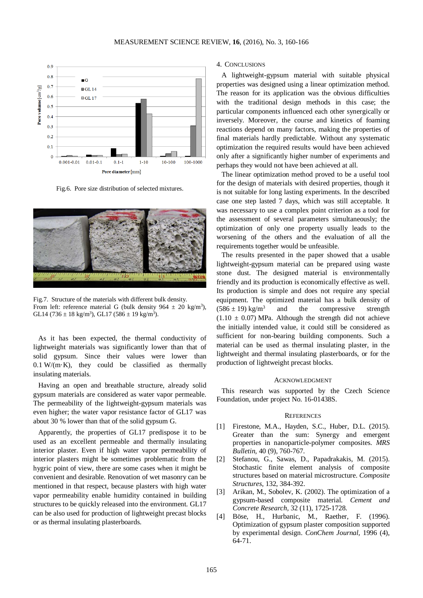

Fig.6. Pore size distribution of selected mixtures.



Fig.7. Structure of the materials with different bulk density. From left: reference material G (bulk density  $964 \pm 20$  kg/m<sup>3</sup>), GL14 (736  $\pm$  18 kg/m<sup>3</sup>), GL17 (586  $\pm$  19 kg/m<sup>3</sup>).

As it has been expected, the thermal conductivity of lightweight materials was significantly lower than that of solid gypsum. Since their values were lower than  $0.1 \text{ W/(m·K)}$ , they could be classified as thermally insulating materials.

Having an open and breathable structure, already solid gypsum materials are considered as water vapor permeable. The permeability of the lightweight-gypsum materials was even higher; the water vapor resistance factor of GL17 was about 30 % lower than that of the solid gypsum G.

Apparently, the properties of GL17 predispose it to be used as an excellent permeable and thermally insulating interior plaster. Even if high water vapor permeability of interior plasters might be sometimes problematic from the hygric point of view, there are some cases when it might be convenient and desirable. Renovation of wet masonry can be mentioned in that respect, because plasters with high water vapor permeability enable humidity contained in building structures to be quickly released into the environment. GL17 can be also used for production of lightweight precast blocks or as thermal insulating plasterboards.

# 4. CONCLUSIONS

A lightweight-gypsum material with suitable physical properties was designed using a linear optimization method. The reason for its application was the obvious difficulties with the traditional design methods in this case; the particular components influenced each other synergically or inversely. Moreover, the course and kinetics of foaming reactions depend on many factors, making the properties of final materials hardly predictable. Without any systematic optimization the required results would have been achieved only after a significantly higher number of experiments and perhaps they would not have been achieved at all.

The linear optimization method proved to be a useful tool for the design of materials with desired properties, though it is not suitable for long lasting experiments. In the described case one step lasted 7 days, which was still acceptable. It was necessary to use a complex point criterion as a tool for the assessment of several parameters simultaneously; the optimization of only one property usually leads to the worsening of the others and the evaluation of all the requirements together would be unfeasible.

The results presented in the paper showed that a usable lightweight-gypsum material can be prepared using waste stone dust. The designed material is environmentally friendly and its production is economically effective as well. Its production is simple and does not require any special equipment. The optimized material has a bulk density of  $(586 \pm 19)$  kg/m<sup>3</sup> and the compressive strength  $(1.10 \pm 0.07)$  MPa. Although the strength did not achieve the initially intended value, it could still be considered as sufficient for non-bearing building components. Such a material can be used as thermal insulating plaster, in the lightweight and thermal insulating plasterboards, or for the production of lightweight precast blocks.

#### ACKNOWLEDGMENT

This research was supported by the Czech Science Foundation, under project No. 16-01438S.

#### **REFERENCES**

- [1] Firestone, M.A., Hayden, S.C., Huber, D.L. (2015). Greater than the sum: Synergy and emergent properties in nanoparticle-polymer composites. *MRS Bulletin*, 40 (9), 760-767.
- [2] Stefanou, G., Sawas, D., Papadrakakis, M. (2015). Stochastic finite element analysis of composite structures based on material microstructure. *Composite Structures*, 132, 384-392.
- [3] Arikan, M., Sobolev, K. (2002). The optimization of a gypsum-based composite material. *Cement and Concrete Research,* 32 (11), 1725-1728.
- [4] Böse, H., Hurbanic, M., Raether, F. (1996). Optimization of gypsum plaster composition supported by experimental design. *ConChem Journal,* 1996 (4), 64-71.